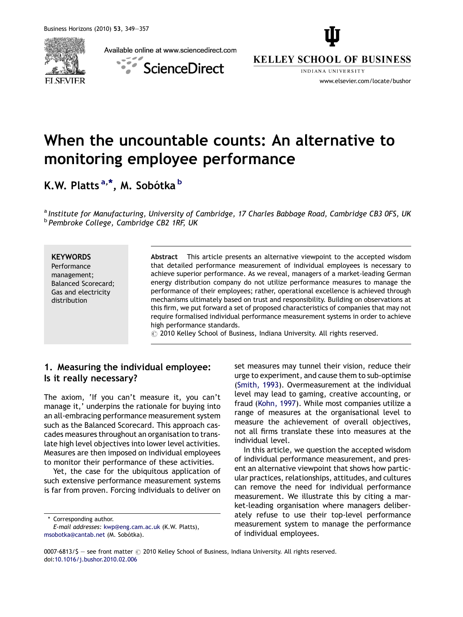Available online at www.sciencedirect.com



ScienceDirect



**INDIANA UNIVERSITY** www.elsevier.com/locate/bushor

# When the uncountable counts: An alternative to monitoring employee performance

K.W. Platts<sup>a,\*</sup>, M. Sobótka <sup>b</sup>

a Institute for Manufacturing, University of Cambridge, 17 Charles Babbage Road, Cambridge CB3 0FS, UK <sup>b</sup> Pembroke College, Cambridge CB2 1RF, UK

#### **KEYWORDS**

Performance management; Balanced Scorecard; Gas and electricity distribution

Abstract This article presents an alternative viewpoint to the accepted wisdom that detailed performance measurement of individual employees is necessary to achieve superior performance. As we reveal, managers of a market-leading German energy distribution company do not utilize performance measures to manage the performance of their employees; rather, operational excellence is achieved through mechanisms ultimately based on trust and responsibility. Building on observations at this firm, we put forward a set of proposed characteristics of companies that may not require formalised individual performance measurement systems in order to achieve high performance standards.

 $\circled{c}$  2010 Kelley School of Business, Indiana University. All rights reserved.

## 1. Measuring the individual employee: Is it really necessary?

The axiom, 'If you can't measure it, you can't manage it,' underpins the rationale for buying into an all-embracing performance measurement system such as the Balanced Scorecard. This approach cascades measures throughout an organisation to translate high level objectives into lower level activities. Measures are then imposed on individual employees to monitor their performance of these activities.

Yet, the case for the ubiquitous application of such extensive performance measurement systems is far from proven. Forcing individuals to deliver on

\* Corresponding author.

set measures may tunnel their vision, reduce their urge to experiment, and cause them to sub-optimise [\(Smith, 1993\)](#page--1-0). Overmeasurement at the individual level may lead to gaming, creative accounting, or fraud ([Kohn, 1997\)](#page--1-0). While most companies utilize a range of measures at the organisational level to measure the achievement of overall objectives, not all firms translate these into measures at the individual level.

In this article, we question the accepted wisdom of individual performance measurement, and present an alternative viewpoint that shows how particular practices, relationships, attitudes, and cultures can remove the need for individual performance measurement. We illustrate this by citing a market-leading organisation where managers deliberately refuse to use their top-level performance measurement system to manage the performance of individual employees.

E-mail addresses: [kwp@eng.cam.ac.uk](mailto:kwp@eng.cam.ac.uk) (K.W. Platts), [msobotka@cantab.net](mailto:msobotka@cantab.net) (M. Sobótka).

<sup>0007-6813/\$ -</sup> see front matter  $\odot$  2010 Kelley School of Business, Indiana University. All rights reserved. doi[:10.1016/j.bushor.2010.02.006](http://dx.doi.org/10.1016/j.bushor.2010.02.006)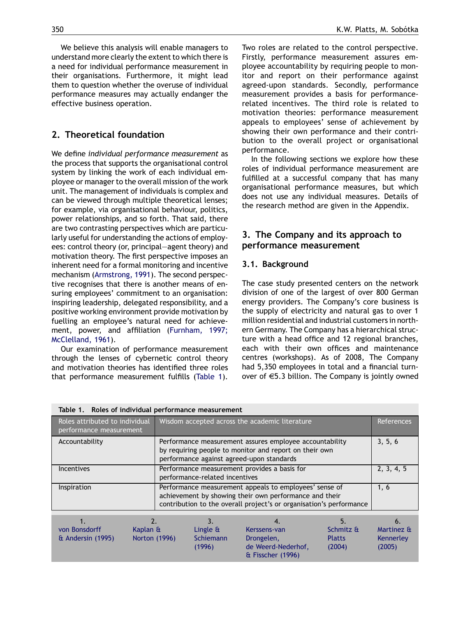We believe this analysis will enable managers to understand more clearly the extent to which there is a need for individual performance measurement in their organisations. Furthermore, it might lead them to question whether the overuse of individual performance measures may actually endanger the effective business operation.

#### 2. Theoretical foundation

We define individual performance measurement as the process that supports the organisational control system by linking the work of each individual employee or manager to the overall mission of the work unit. The management of individuals is complex and can be viewed through multiple theoretical lenses; for example, via organisational behaviour, politics, power relationships, and so forth. That said, there are two contrasting perspectives which are particularly useful for understanding the actions of employees: control theory (or, principal—agent theory) and motivation theory. The first perspective imposes an inherent need for a formal monitoring and incentive mechanism ([Armstrong, 1991\)](#page--1-0). The second perspective recognises that there is another means of ensuring employees' commitment to an organisation: inspiring leadership, delegated responsibility, and a positive working environment provide motivation by fuelling an employee's natural need for achievement, power, and affiliation [\(Furnham, 1997;](#page--1-0) [McClelland, 1961](#page--1-0)).

Our examination of performance measurement through the lenses of cybernetic control theory and motivation theories has identified three roles that performance measurement fulfills (Table 1). Two roles are related to the control perspective. Firstly, performance measurement assures employee accountability by requiring people to monitor and report on their performance against agreed-upon standards. Secondly, performance measurement provides a basis for performancerelated incentives. The third role is related to motivation theories: performance measurement appeals to employees' sense of achievement by showing their own performance and their contribution to the overall project or organisational performance.

In the following sections we explore how these roles of individual performance measurement are fulfilled at a successful company that has many organisational performance measures, but which does not use any individual measures. Details of the research method are given in the Appendix.

### 3. The Company and its approach to performance measurement

#### 3.1. Background

The case study presented centers on the network division of one of the largest of over 800 German energy providers. The Company's core business is the supply of electricity and natural gas to over 1 million residential and industrial customers in northern Germany. The Company has a hierarchical structure with a head office and 12 regional branches, each with their own offices and maintenance centres (workshops). As of 2008, The Company had 5,350 employees in total and a financial turnover of  $\epsilon$ 5.3 billion. The Company is jointly owned

| Table 1. Roles of individual performance measurement      |                           |                                                                                                                                                                                         |                                                                       |                                      |                                   |
|-----------------------------------------------------------|---------------------------|-----------------------------------------------------------------------------------------------------------------------------------------------------------------------------------------|-----------------------------------------------------------------------|--------------------------------------|-----------------------------------|
| Roles attributed to individual<br>performance measurement |                           | Wisdom accepted across the academic literature                                                                                                                                          |                                                                       |                                      | <b>References</b>                 |
| Accountability                                            |                           | Performance measurement assures employee accountability<br>by requiring people to monitor and report on their own<br>performance against agreed-upon standards                          |                                                                       |                                      | 3, 5, 6                           |
| <b>Incentives</b>                                         |                           | Performance measurement provides a basis for<br>performance-related incentives                                                                                                          |                                                                       |                                      | 2, 3, 4, 5                        |
| Inspiration                                               |                           | Performance measurement appeals to employees' sense of<br>achievement by showing their own performance and their<br>contribution to the overall project's or organisation's performance |                                                                       |                                      | 1, 6                              |
| 1.                                                        | $\overline{2}$ .          | 3.                                                                                                                                                                                      | 4.                                                                    | 5.                                   | 6.                                |
| von Bonsdorff<br>& Andersin (1995)                        | Kaplan &<br>Norton (1996) | Lingle &<br>Schiemann<br>(1996)                                                                                                                                                         | Kerssens-van<br>Drongelen,<br>de Weerd-Nederhof,<br>& Fisscher (1996) | Schmitz &<br><b>Platts</b><br>(2004) | Martinez &<br>Kennerley<br>(2005) |